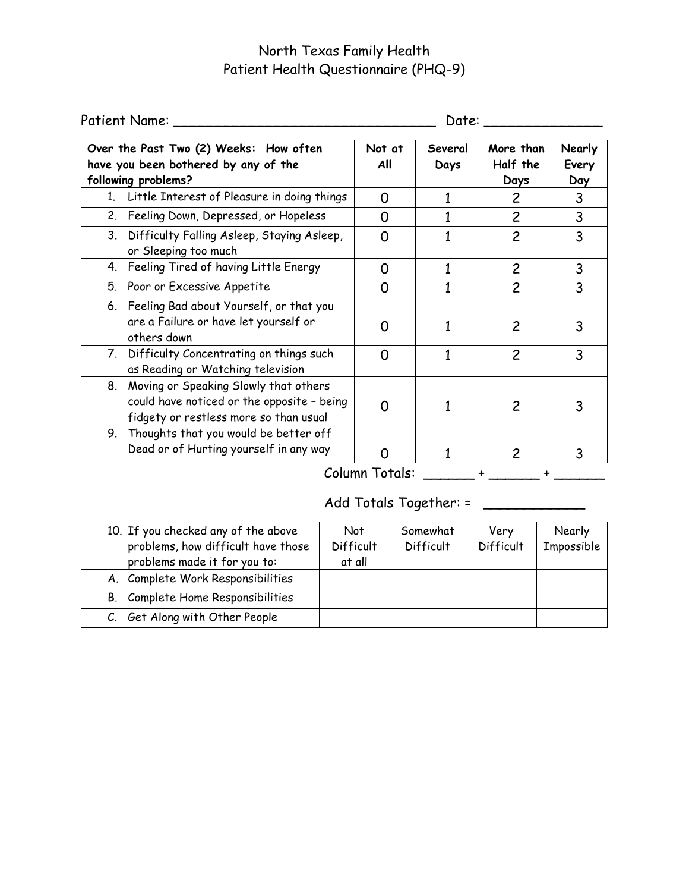# North Texas Family Health Patient Health Questionnaire (PHQ-9)

| Patient Name: _                                                                                                                  | Date:          |                 |                               |                        |
|----------------------------------------------------------------------------------------------------------------------------------|----------------|-----------------|-------------------------------|------------------------|
| Over the Past Two (2) Weeks: How often<br>have you been bothered by any of the<br>following problems?                            | Not at<br>All  | Several<br>Days | More than<br>Half the<br>Days | Nearly<br>Every<br>Day |
| 1. Little Interest of Pleasure in doing things                                                                                   | O              |                 | 2                             | 3                      |
| 2. Feeling Down, Depressed, or Hopeless                                                                                          | 0              |                 | $\overline{c}$                | 3                      |
| 3. Difficulty Falling Asleep, Staying Asleep,<br>or Sleeping too much                                                            | O              |                 | $\overline{c}$                | 3                      |
| 4. Feeling Tired of having Little Energy                                                                                         | O              |                 | $\overline{c}$                | 3                      |
| 5. Poor or Excessive Appetite                                                                                                    | Ω              |                 | $\overline{c}$                | 3                      |
| 6. Feeling Bad about Yourself, or that you<br>are a Failure or have let yourself or<br>others down                               | O              |                 | 2                             |                        |
| 7. Difficulty Concentrating on things such<br>as Reading or Watching television                                                  | ∩              |                 | $\overline{c}$                | 3                      |
| 8. Moving or Speaking Slowly that others<br>could have noticed or the opposite - being<br>fidgety or restless more so than usual |                |                 | 2                             |                        |
| 9. Thoughts that you would be better off<br>Dead or of Hurting yourself in any way                                               |                |                 | 2                             |                        |
|                                                                                                                                  | Column Totals: |                 |                               |                        |

Add Totals Together: = \_\_\_\_\_\_\_\_\_\_\_\_\_\_

| 10. If you checked any of the above<br>problems, how difficult have those<br>problems made it for you to: | <b>Not</b><br>Difficult<br>at all | Somewhat<br>Difficult | Very<br>Difficult | Nearly<br>Impossible |
|-----------------------------------------------------------------------------------------------------------|-----------------------------------|-----------------------|-------------------|----------------------|
| A. Complete Work Responsibilities                                                                         |                                   |                       |                   |                      |
| Complete Home Responsibilities<br>B.                                                                      |                                   |                       |                   |                      |
| C. Get Along with Other People                                                                            |                                   |                       |                   |                      |